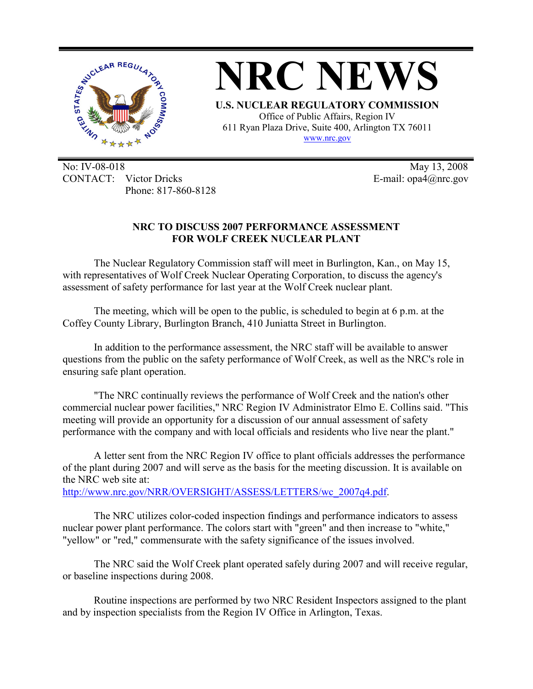

**NRC NEWS U.S. NUCLEAR REGULATORY COMMISSION** 

Office of Public Affairs, Region IV 611 Ryan Plaza Drive, Suite 400, Arlington TX 76011 www.nrc.gov

No: IV-08-018 May 13, 2008 CONTACT: Victor Dricks E-mail: opa4@nrc.gov Phone: 817-860-8128

## **NRC TO DISCUSS 2007 PERFORMANCE ASSESSMENT FOR WOLF CREEK NUCLEAR PLANT**

The Nuclear Regulatory Commission staff will meet in Burlington, Kan., on May 15, with representatives of Wolf Creek Nuclear Operating Corporation, to discuss the agency's assessment of safety performance for last year at the Wolf Creek nuclear plant.

The meeting, which will be open to the public, is scheduled to begin at 6 p.m. at the Coffey County Library, Burlington Branch, 410 Juniatta Street in Burlington.

In addition to the performance assessment, the NRC staff will be available to answer questions from the public on the safety performance of Wolf Creek, as well as the NRC's role in ensuring safe plant operation.

"The NRC continually reviews the performance of Wolf Creek and the nation's other commercial nuclear power facilities," NRC Region IV Administrator Elmo E. Collins said. "This meeting will provide an opportunity for a discussion of our annual assessment of safety performance with the company and with local officials and residents who live near the plant."

A letter sent from the NRC Region IV office to plant officials addresses the performance of the plant during 2007 and will serve as the basis for the meeting discussion. It is available on the NRC web site at:

http://www.nrc.gov/NRR/OVERSIGHT/ASSESS/LETTERS/wc\_2007q4.pdf.

The NRC utilizes color-coded inspection findings and performance indicators to assess nuclear power plant performance. The colors start with "green" and then increase to "white," "yellow" or "red," commensurate with the safety significance of the issues involved.

The NRC said the Wolf Creek plant operated safely during 2007 and will receive regular, or baseline inspections during 2008.

Routine inspections are performed by two NRC Resident Inspectors assigned to the plant and by inspection specialists from the Region IV Office in Arlington, Texas.